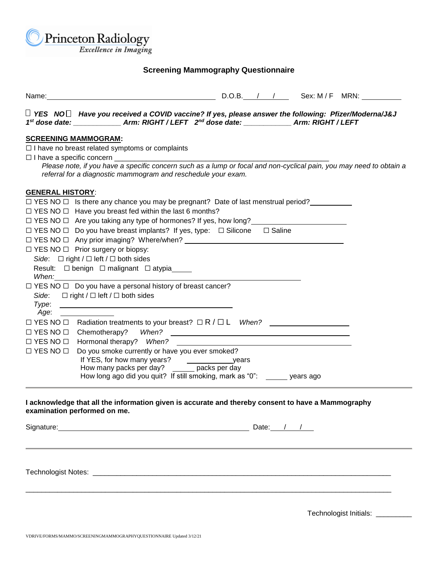

## **Screening Mammography Questionnaire**

| Name: Name: Name: Name: Name: Name: Name: Name: Name: Name: Name: Name: Name: Name: Name: Name: Name: Name: Name: Name: Name: Name: Name: Name: Name: Name: Name: Name: Name: Name: Name: Name: Name: Name: Name: Name: Name:            |  |  |
|------------------------------------------------------------------------------------------------------------------------------------------------------------------------------------------------------------------------------------------|--|--|
| $\Box$ YES NO $\Box$ Have you received a COVID vaccine? If yes, please answer the following: Pfizer/Moderna/J&J<br>1st dose date: _____________________Arm: RIGHT / LEFT 2 <sup>nd</sup> dose date: ___________________Arm: RIGHT / LEFT |  |  |
| <b>SCREENING MAMMOGRAM:</b>                                                                                                                                                                                                              |  |  |
| $\Box$ I have no breast related symptoms or complaints                                                                                                                                                                                   |  |  |
|                                                                                                                                                                                                                                          |  |  |
| Please note, if you have a specific concern such as a lump or focal and non-cyclical pain, you may need to obtain a<br>referral for a diagnostic mammogram and reschedule your exam.                                                     |  |  |
| <b>GENERAL HISTORY:</b>                                                                                                                                                                                                                  |  |  |
| $\Box$ YES NO $\Box$ Is there any chance you may be pregnant? Date of last menstrual period?                                                                                                                                             |  |  |
| $\Box$ YES NO $\Box$ Have you breast fed within the last 6 months?                                                                                                                                                                       |  |  |
| $\Box$ YES NO $\Box$ Are you taking any type of hormones? If yes, how long?                                                                                                                                                              |  |  |
| $\Box$ YES NO $\Box$ Do you have breast implants? If yes, type: $\Box$ Silicone $\Box$ Saline                                                                                                                                            |  |  |
|                                                                                                                                                                                                                                          |  |  |
| $\Box$ YES NO $\Box$ Prior surgery or biopsy:                                                                                                                                                                                            |  |  |
| Side: $\Box$ right / $\Box$ left / $\Box$ both sides                                                                                                                                                                                     |  |  |
| Result: □ benign □ malignant □ atypia_____                                                                                                                                                                                               |  |  |
|                                                                                                                                                                                                                                          |  |  |
| $\Box$ YES NO $\Box$ Do you have a personal history of breast cancer?                                                                                                                                                                    |  |  |
| Side: $\Box$ right / $\Box$ left / $\Box$ both sides                                                                                                                                                                                     |  |  |
| Type:<br>Age: _______________                                                                                                                                                                                                            |  |  |
| $\Box$ YES NO $\Box$ Radiation treatments to your breast? $\Box$ R / $\Box$ L When?                                                                                                                                                      |  |  |
|                                                                                                                                                                                                                                          |  |  |
| Hormonal therapy? When?<br>$\square$ YES NO $\square$                                                                                                                                                                                    |  |  |
| Do you smoke currently or have you ever smoked?<br>$\square$ YES NO $\square$                                                                                                                                                            |  |  |
|                                                                                                                                                                                                                                          |  |  |
| If YES, for how many years?<br>How many packs per day? ________ packs per day                                                                                                                                                            |  |  |
| How long ago did you quit? If still smoking, mark as "0": ______ years ago                                                                                                                                                               |  |  |
| I acknowledge that all the information given is accurate and thereby consent to have a Mammography<br>examination performed on me.                                                                                                       |  |  |
|                                                                                                                                                                                                                                          |  |  |
|                                                                                                                                                                                                                                          |  |  |

 $\Box$ 

Technologist Notes: \_\_\_\_\_\_\_\_\_\_\_\_\_\_\_\_\_\_\_\_\_\_\_\_\_\_\_\_\_\_\_\_\_\_\_\_\_\_\_\_\_\_\_\_\_\_\_\_\_\_\_\_\_\_\_\_\_\_\_\_\_\_\_\_\_\_\_\_\_\_\_\_\_\_\_

Technologist Initials: \_\_\_\_\_\_\_\_\_\_